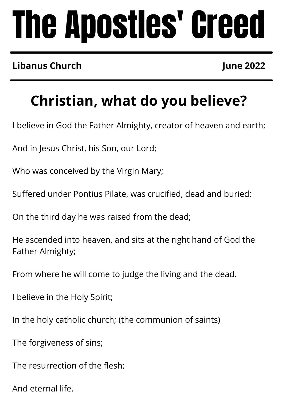# The Apostles' Creed

### **Libanus Church**

**June 2022**

## **Christian, what do you believe?**

I believe in God the Father Almighty, creator of heaven and earth;

And in Jesus Christ, his Son, our Lord;

Who was conceived by the Virgin Mary;

Suffered under Pontius Pilate, was crucified, dead and buried;

On the third day he was raised from the dead;

He ascended into heaven, and sits at the right hand of God the Father Almighty;

From where he will come to judge the living and the dead.

I believe in the Holy Spirit;

In the holy catholic church; (the communion of saints)

The forgiveness of sins;

The resurrection of the flesh;

And eternal life.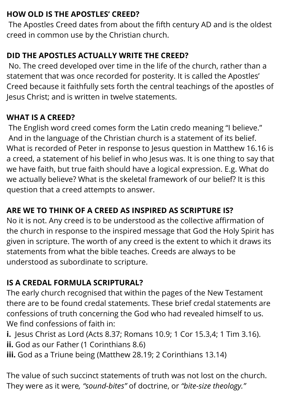#### **HOW OLD IS THE APOSTLES' CREED?**

The Apostles Creed dates from about the fifth century AD and is the oldest creed in common use by the Christian church.

#### **DID THE APOSTLES ACTUALLY WRITE THE CREED?**

No. The creed developed over time in the life of the church, rather than a statement that was once recorded for posterity. It is called the Apostles' Creed because it faithfully sets forth the central teachings of the apostles of Jesus Christ; and is written in twelve statements.

#### **WHAT IS A CREED?**

The English word creed comes form the Latin credo meaning "I believe." And in the language of the Christian church is a statement of its belief. What is recorded of Peter in response to Jesus question in Matthew 16.16 is a creed, a statement of his belief in who Jesus was. It is one thing to say that we have faith, but true faith should have a logical expression. E.g. What do we actually believe? What is the skeletal framework of our belief? It is this question that a creed attempts to answer.

#### **ARE WE TO THINK OF A CREED AS INSPIRED AS SCRIPTURE IS?**

No it is not. Any creed is to be understood as the collective affirmation of the church in response to the inspired message that God the Holy Spirit has given in scripture. The worth of any creed is the extent to which it draws its statements from what the bible teaches. Creeds are always to be understood as subordinate to scripture.

#### **IS A CREDAL FORMULA SCRIPTURAL?**

The early church recognised that within the pages of the New Testament there are to be found credal statements. These brief credal statements are confessions of truth concerning the God who had revealed himself to us. We find confessions of faith in:

**i.** Jesus Christ as Lord (Acts 8.37; Romans 10.9; 1 Cor 15.3,4; 1 Tim 3.16).

**ii.** God as our Father (1 Corinthians 8.6)

**iii.** God as a Triune being (Matthew 28.19; 2 Corinthians 13.14)

The value of such succinct statements of truth was not lost on the church. They were as it were*, "sound-bites"* of doctrine, or *"bite-size theology."*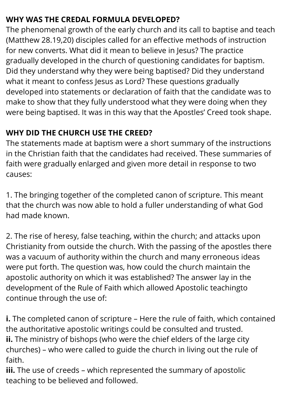#### **WHY WAS THE CREDAL FORMULA DEVELOPED?**

The phenomenal growth of the early church and its call to baptise and teach (Matthew 28.19,20) disciples called for an effective methods of instruction for new converts. What did it mean to believe in Jesus? The practice gradually developed in the church of questioning candidates for baptism. Did they understand why they were being baptised? Did they understand what it meant to confess Jesus as Lord? These questions gradually developed into statements or declaration of faith that the candidate was to make to show that they fully understood what they were doing when they were being baptised. It was in this way that the Apostles' Creed took shape.

#### **WHY DID THE CHURCH USE THE CREED?**

The statements made at baptism were a short summary of the instructions in the Christian faith that the candidates had received. These summaries of faith were gradually enlarged and given more detail in response to two causes:

1. The bringing together of the completed canon of scripture. This meant that the church was now able to hold a fuller understanding of what God had made known.

2. The rise of heresy, false teaching, within the church; and attacks upon Christianity from outside the church. With the passing of the apostles there was a vacuum of authority within the church and many erroneous ideas were put forth. The question was, how could the church maintain the apostolic authority on which it was established? The answer lay in the development of the Rule of Faith which allowed Apostolic teachingto continue through the use of:

**i.** The completed canon of scripture – Here the rule of faith, which contained the authoritative apostolic writings could be consulted and trusted. **ii.** The ministry of bishops (who were the chief elders of the large city churches) – who were called to guide the church in living out the rule of faith.

**iii.** The use of creeds – which represented the summary of apostolic teaching to be believed and followed.